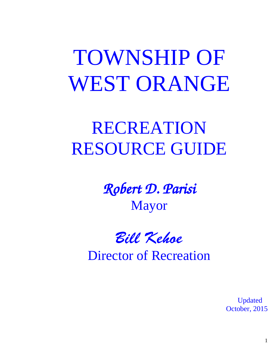TOWNSHIP OF WEST ORANGE

# RECREATION RESOURCE GUIDE

Robert D. Parisi Mayor

Bill Kehoe Director of Recreation

 Updated October, 2015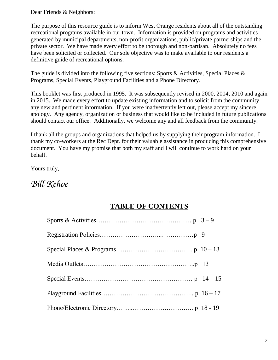Dear Friends & Neighbors:

The purpose of this resource guide is to inform West Orange residents about all of the outstanding recreational programs available in our town. Information is provided on programs and activities generated by municipal departments, non-profit organizations, public/private partnerships and the private sector. We have made every effort to be thorough and non-partisan. Absolutely no fees have been solicited or collected. Our sole objective was to make available to our residents a definitive guide of recreational options.

The guide is divided into the following five sections: Sports & Activities, Special Places & Programs, Special Events, Playground Facilities and a Phone Directory.

This booklet was first produced in 1995. It was subsequently revised in 2000, 2004, 2010 and again in 2015. We made every effort to update existing information and to solicit from the community any new and pertinent information. If you were inadvertently left out, please accept my sincere apology. Any agency, organization or business that would like to be included in future publications should contact our office. Additionally, we welcome any and all feedback from the community.

I thank all the groups and organizations that helped us by supplying their program information. I thank my co-workers at the Rec Dept. for their valuable assistance in producing this comprehensive document. You have my promise that both my staff and I will continue to work hard on your behalf.

Yours truly,

# Bill Kehoe

# **TABLE OF CONTENTS**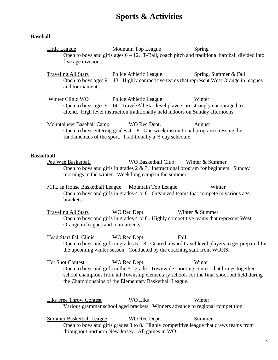# **Sports & Activities**

#### **Baseball**

Little League Mountain Top League Spring Open to boys and girls ages  $6 - 12$ . T-Ball, coach pitch and traditional hardball divided into five age divisions.

Traveling All Stars Police Athletic League Spring, Summer & Fall Open to boys ages  $9 - 13$ . Highly competitive teams that represent West Orange in leagues and tournaments.

Winter Clinic WO Police Athletic League Winter Open to boys ages 9 - 14. Travel/All Star level players are strongly encouraged to attend. High level instruction traditionally held indoors on Sunday afternoons

Mountaineer Baseball Camp WO Rec Dept. August Open to boys entering grades  $4 - 8$ . One week instructional program stressing the fundamentals of the sport. Traditionally a  $\frac{1}{2}$  day schedule.

#### **Basketball**

Pee Wee Basketball WO Basketball Club Winter & Summer Open to boys and girls in grades  $2 \& 3$ . Instructional program for beginners. Sunday mornings in the winter. Week long camp in the summer.

MTL In House Basketball League Mountain Top League Winter Open to boys and girls in grades 4 to 8. Organized teams that compete in various age brackets.

Traveling All Stars WO Rec Dept. Winter & Summer Open to boys and girls in grades 4 to 8. Highly competitive teams that represent West Orange in leagues and tournaments.

Head Start Fall Clinic WO Rec Dept. Fall Open to boys and girls in grades  $5 - 8$ . Geared toward travel level players to get prepared for the upcoming winter season. Conducted by the coaching staff from WOHS.

Hot Shot Contest WO Rec Dept. Winter Open to boys and girls in the  $5<sup>th</sup>$  grade. Townwide shooting contest that brings together school champions from all Township elementary schools for the final shoot out held during the Championships of the Elementary Basketball League.

Elks Free Throw Contest WO Elks Winter Various grammar school aged brackets. Winners advance to regional competition.

Summer Basketball League WO Rec Dept. Summer Open to boys and girls grades 3 to 8. Highly competitive league that draws teams from throughout northern New Jersey. All games in WO.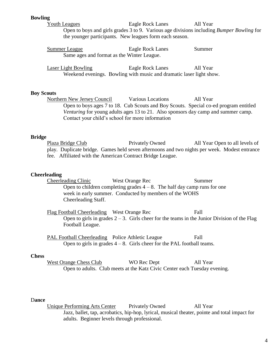#### **Bowling**

Youth Leagues Eagle Rock Lanes All Year Open to boys and girls grades 3 to 9. Various age divisions including *Bumper Bowling* for the younger participants. New leagues form each season.

| Summer League                              | Eagle Rock Lanes | Summer |
|--------------------------------------------|------------------|--------|
| Same ages and format as the Winter League. |                  |        |

Laser Light Bowling Eagle Rock Lanes All Year Weekend evenings. Bowling with music and dramatic laser light show.

#### **Boy Scouts**

Northern New Jersey Council Various Locations All Year Open to boys ages 7 to 18. Cub Scouts and Boy Scouts. Special co-ed program entitled *Venturing* for young adults ages 13 to 21. Also sponsors day camp and summer camp. Contact your child's school for more information

#### **Bridge**

Plaza Bridge Club Privately Owned All Year Open to all levels of play. Duplicate bridge. Games held seven afternoons and two nights per week. Modest entrance fee. Affiliated with the American Contract Bridge League.

#### **Cheerleading**

Cheerleading Clinic West Orange Rec Summer Open to children completing grades  $4 - 8$ . The half day camp runs for one week in early summer. Conducted by members of the WOHS Cheerleading Staff.

Flag Football Cheerleading West Orange Rec Fall Open to girls in grades  $2 - 3$ . Girls cheer for the teams in the Junior Division of the Flag Football League.

PAL Football Cheerleading Police Athletic League Fall Open to girls in grades  $4 - 8$ . Girls cheer for the PAL football teams.

#### **Chess**

West Orange Chess Club WO Rec Dept All Year Open to adults. Club meets at the Katz Civic Center each Tuesday evening.

#### D**ance**

Unique Performing Arts Center Privately Owned All Year Jazz, ballet, tap, acrobatics, hip-hop, lyrical, musical theater, pointe and total impact for adults. Beginner levels through professional.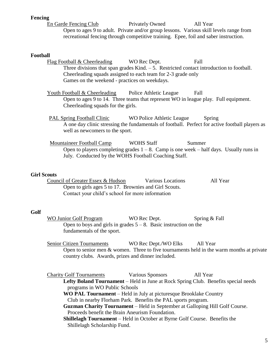#### **Fencing**

En Garde Fencing Club Privately Owned All Year Open to ages 9 to adult. Private and/or group lessons. Various skill levels range from recreational fencing through competitive training. Epee, foil and saber instruction.

#### **Football**

| т ууллан                                                                                                                           |
|------------------------------------------------------------------------------------------------------------------------------------|
| Flag Football & Cheerleading<br>WO Rec Dept.<br>Fall                                                                               |
| Three divisions that span grades Kind. $-5$ . Restricted contact introduction to football.                                         |
| Cheerleading squads assigned to each team for 2-3 grade only                                                                       |
| Games on the weekend - practices on weekdays.                                                                                      |
| <b>Youth Football &amp; Cheerleading</b> Police Athletic League<br>Fall                                                            |
| Open to ages 9 to 14. Three teams that represent WO in league play. Full equipment.                                                |
| Cheerleading squads for the girls.                                                                                                 |
| <b>PAL Spring Football Clinic</b><br>WO Police Athletic League<br>Spring                                                           |
| A one day clinic stressing the fundamentals of football. Perfect for active football players as<br>well as newcomers to the sport. |
| Mountaineer Football Camp<br><b>WOHS Staff</b><br>Summer                                                                           |
| Open to players completing grades $1 - 8$ . Camp is one week – half days. Usually runs in                                          |
| July. Conducted by the WOHS Football Coaching Staff.                                                                               |
|                                                                                                                                    |
| <b>Girl Scouts</b>                                                                                                                 |

Council of Greater Essex & Hudson Various Locations All Year Open to girls ages 5 to 17. Brownies and Girl Scouts. Contact your child's school for more information

#### **Golf**

WO Junior Golf Program WO Rec Dept. Spring & Fall Open to boys and girls in grades  $5 - 8$ . Basic instruction on the fundamentals of the sport.

Senior Citizen Tournaments WO Rec Dept./WO Elks All Year Open to senior men & women. Three to five tournaments held in the warm months at private country clubs. Awards, prizes and dinner included.

Charity Golf Tournaments Various Sponsors All Year **Lefty Boland Tournament** – Held in June at Rock Spring Club. Benefits special needs programs in WO Public Schools

**WO PAL Tournament** – Held in July at picturesque Brooklake Country Club in nearby Florham Park. Benefits the PAL sports program.

**Guzman Charity Tournament** – Held in September at Galloping Hill Golf Course. Proceeds benefit the Brain Aneurism Foundation.

 **Shillelagh Tournament** – Held in October at Byrne Golf Course. Benefits the Shillelagh Scholarship Fund.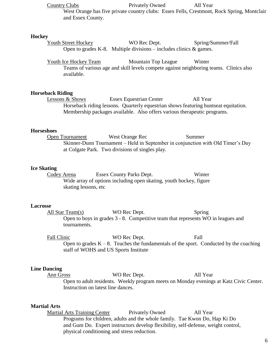Country Clubs Privately Owned All Year

West Orange has five private country clubs: Essex Fells, Crestmont, Rock Spring, Montclair and Essex County.

#### **Hockey**

Youth Street Hockey WO Rec Dept. Spring/Summer/Fall Open to grades K-8. Multiple divisions – includes clinics  $\&$  games.

Youth Ice Hockey Team Mountain Top League Winter Teams of various age and skill levels compete against neighboring teams. Clinics also available.

#### **Horseback Riding**

Lessons & Shows Essex Equestrian Center All Year Horseback riding lessons. Quarterly equestrian shows featuring huntseat equitation. Membership packages available. Also offers various therapeutic programs.

#### **Horseshoes**

**Open Tournament** West Orange Rec Summer Skinner-Dunn Tournament – Held in September in conjunction with Old Timer's Day at Colgate Park. Two divisions of singles play.

# **Ice Skating**<br>Codey Arena

Essex County Parks Dept. Winter Wide array of options including open skating, youth hockey, figure skating lessons, etc

#### **Lacrosse**

All Star Team(s) WO Rec Dept. Spring Open to boys in grades 3 - 8. Competitive team that represents WO in leagues and tournaments.

Fall Clinic WO Rec Dept. Fall Open to grades  $K - 8$ . Teaches the fundamentals of the sport. Conducted by the coaching staff of WOHS and US Sports Institute

#### **Line Dancing**

Ann Gross WO Rec Dept. All Year Open to adult residents. Weekly program meets on Monday evenings at Katz Civic Center. Instruction on latest line dances.

#### **Martial Arts**

Martial Arts Training Center Privately Owned All Year Programs for children, adults and the whole family. Tae Kwon Do, Hap Ki Do and Gum Do. Expert instructors develop flexibility, self-defense, weight control, physical conditioning and stress reduction.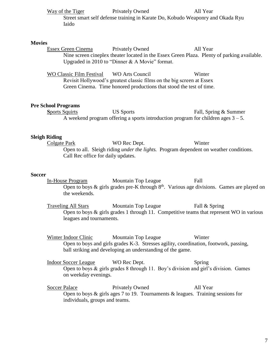|               |                                             | Way of the Tiger<br>Iaido                              | <b>Privately Owned</b><br>Street smart self defense training in Karate Do, Kobudo Weaponry and Okada Ryu                                                                | All Year              |
|---------------|---------------------------------------------|--------------------------------------------------------|-------------------------------------------------------------------------------------------------------------------------------------------------------------------------|-----------------------|
| <b>Movies</b> |                                             | Essex Green Cinema                                     | <b>Privately Owned</b><br>Nine screen cineplex theater located in the Essex Green Plaza. Plenty of parking available.<br>Upgraded in 2010 to "Dinner & A Movie" format. | All Year              |
|               |                                             | WO Classic Film Festival                               | <b>WO Arts Council</b><br>Revisit Hollywood's greatest classic films on the big screen at Essex<br>Green Cinema. Time honored productions that stood the test of time.  | Winter                |
|               |                                             | <b>Pre School Programs</b><br><b>Sports Squirts</b>    | <b>US Sports</b><br>A weekend program offering a sports introduction program for children ages $3 - 5$ .                                                                | Fall, Spring & Summer |
|               | <b>Sleigh Riding</b><br><b>Colgate Park</b> | Call Rec office for daily updates.                     | WO Rec Dept.<br>Open to all. Sleigh riding <i>under the lights</i> . Program dependent on weather conditions.                                                           | Winter                |
| <b>Soccer</b> |                                             | In-House Program<br>the weekends.                      | Mountain Top League<br>Open to boys & girls grades pre-K through 8 <sup>th</sup> . Various age divisions. Games are played on                                           | Fall                  |
|               |                                             | <b>Traveling All Stars</b><br>leagues and tournaments. | Mountain Top League<br>Open to boys $\&$ girls grades 1 through 11. Competitive teams that represent WO in various                                                      | Fall & Spring         |
|               |                                             | Winter Indoor Clinic                                   | Mountain Top League                                                                                                                                                     | Winter                |

Open to boys and girls grades K-3. Stresses agility, coordination, footwork, passing, ball striking and developing an understanding of the game.

Indoor Soccer League WO Rec Dept. Spring Open to boys & girls grades 8 through 11. Boy's division and girl's division. Games on weekday evenings.

Soccer Palace Privately Owned All Year Open to boys  $\&$  girls ages 7 to 19. Tournaments  $\&$  leagues. Training sessions for individuals, groups and teams.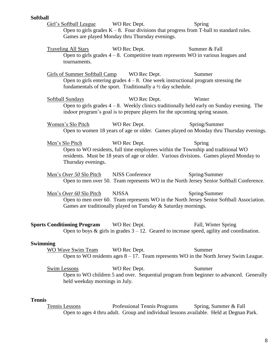#### **Softball**

Girl's Softball League WO Rec Dept. Spring Open to girls grades  $K - 8$ . Four divisions that progress from T-ball to standard rules. Games are played Monday thru Thursday evenings.

Traveling All Stars WO Rec Dept. Summer & Fall Open to girls grades  $4 - 8$ . Competitive team represents WO in various leagues and tournaments.

Girls of Summer Softball Camp WO Rec Dept. Summer Open to girls entering grades  $4 - 8$ . One week instructional program stressing the fundamentals of the sport. Traditionally a ½ day schedule.

Softball Sundays WO Rec Dept. Winter Open to girls grades 4 – 8. Weekly clinics traditionally held early on Sunday evening. The indoor program's goal is to prepare players for the upcoming spring season.

Women's Slo Pitch WO Rec Dept. Spring/Summer Open to women 18 years of age or older. Games played on Monday thru Thursday evenings.

Men's Slo Pitch WO Rec Dept. Spring Open to WO residents, full time employees within the Township and traditional WO residents. Must be 18 years of age or older. Various divisions. Games played Monday to Thursday evenings.

Men's *Over 50* Slo Pitch NJSS Conference Spring/Summer Open to men over 50. Team represents WO in the North Jersey Senior Softball Conference.

Men's *Over 60* Slo Pitch NJSSA Spring/Summer Open to men over 60. Team represents WO in the North Jersey Senior Softball Association. Games are traditionally played on Tuesday & Saturday mornings.

**Sports Conditioning Program** WO Rec Dept. Fall, Winter Spring Open to boys  $\&$  girls in grades  $3 - 12$ . Geared to increase speed, agility and coordination.

#### **Swimming**

WO Wave Swim Team WO Rec Dept. Summer Open to WO residents ages 8 – 17. Team represents WO in the North Jersey Swim League.

Swim Lessons WO Rec Dept. Summer Open to WO children 5 and over. Sequential program from beginner to advanced. Generally held weekday mornings in July.

#### **Tennis**

Tennis Lessons Professional Tennis Programs Spring, Summer & Fall Open to ages 4 thru adult. Group and individual lessons available. Held at Degnan Park.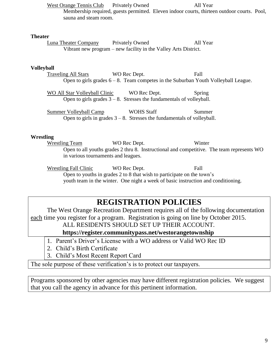West Orange Tennis Club Privately Owned All Year Membership required, guests permitted. Eleven indoor courts, thirteen outdoor courts. Pool, sauna and steam room.

#### **Theater**

Luna Theater Company Privately Owned All Year Vibrant new program – new facility in the Valley Arts District.

#### **Volleyball**

Traveling All Stars WO Rec Dept. Fall Open to girls grades 6 – 8. Team competes in the Suburban Youth Volleyball League.

WO All Star Volleyball Clinic WO Rec Dept. Spring Open to girls grades  $3 - 8$ . Stresses the fundamentals of volleyball.

Summer Volleyball Camp WOHS Staff Summer Open to girls in grades  $3 - 8$ . Stresses the fundamentals of volleyball.

#### **Wrestling**

Wrestling Team WO Rec Dept. Winter Open to all youths grades 2 thru 8. Instructional and competitive. The team represents WO in various tournaments and leagues.

Wrestling Fall Clinic WO Rec Dept. Fall Open to youths in grades 2 to 8 that wish to participate on the town's youth team in the winter. One night a week of basic instruction and conditioning.

# **REGISTRATION POLICIES**

The West Orange Recreation Department requires all of the following documentation each time you register for a program. Registration is going on line by October 2015.

ALL RESIDENTS SHOULD SET UP THEIR ACCOUNT.

**https://register.communitypass.net/westorangetownship**

- 1. Parent's Driver's License with a WO address or Valid WO Rec ID
- 2. Child's Birth Certificate
- 3. Child's Most Recent Report Card

The sole purpose of these verification's is to protect our taxpayers.

Programs sponsored by other agencies may have different registration policies. We suggest that you call the agency in advance for this pertinent information.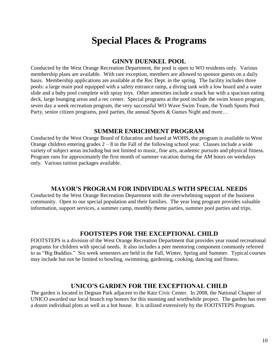# **Special Places & Programs**

#### **GINNY DUENKEL POOL**

Conducted by the West Orange Recreation Department, the pool is open to WO residents only. Various membership plans are available. With rare exception, members are allowed to sponsor guests on a daily basis. Membership applications are available at the Rec Dept. in the spring. The facility includes three pools: a large main pool equipped with a safety entrance ramp, a diving tank with a low board and a water slide and a baby pool complete with spray toys. Other amenities include a snack bar with a spacious eating deck, large lounging areas and a rec center. Special programs at the pool include the swim lesson program, seven day a week recreation program, the very successful WO Wave Swim Team, the Youth Sports Pool Party, senior citizen programs, pool parties, the annual Sports & Games Night and more...

#### **SUMMER ENRICHMENT PROGRAM**

Conducted by the West Orange Board of Education and based at WOHS, the program is available to West Orange children entering grades  $2 - 8$  in the Fall of the following school year. Classes include a wide variety of subject areas including but not limited to music, fine arts, academic pursuits and physical fitness. Program runs for approximately the first month of summer vacation during the AM hours on weekdays only. Various tuition packages available.

#### **MAYOR'S PROGRAM FOR INDIVIDUALS WITH SPECIAL NEEDS**

Conducted by the West Orange Recreation Department with the overwhelming support of the business community. Open to our special population and their families. The year long program provides valuable information, support services, a summer camp, monthly theme parties, summer pool parties and trips.

#### **FOOTSTEPS FOR THE EXCEPTIONAL CHILD**

FOOTSTEPS is a division of the West Orange Recreation Department that provides year round recreational programs for children with special needs. It also includes a peer mentoring component commonly referred to as "Big Buddies." Six week semesters are held in the Fall, Winter, Spring and Summer. Typical courses may include but not be limited to bowling, swimming, gardening, cooking, dancing and fitness.

#### **UNICO'S GARDEN FOR THE EXCEPTIONAL CHILD**

The garden is located in Degnan Park adjacent to the Katz Civic Center. In 2008, the National Chapter of UNICO awarded our local branch top honors for this stunning and worthwhile project. The garden has over a dozen individual plots as well as a hot house. It is utilized extensively by the FOOTSTEPS Program.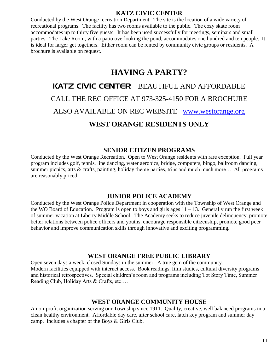#### **KATZ CIVIC CENTER**

Conducted by the West Orange recreation Department. The site is the location of a wide variety of recreational programs. The facility has two rooms available to the public. The cozy skate room accommodates up to thirty five guests. It has been used successfully for meetings, seminars and small parties. The Lake Room, with a patio overlooking the pond, accommodates one hundred and ten people. It is ideal for larger get togethers. Either room can be rented by community civic groups or residents. A brochure is available on request.

# **HAVING A PARTY?**

KATZ CIVIC CENTER – BEAUTIFUL AND AFFORDABLE CALL THE REC OFFICE AT 973-325-4150 FOR A BROCHURE

ALSO AVAILABLE ON REC WEBSITE [www.westorange.org](http://www.westorange.org/)

## **WEST ORANGE RESIDENTS ONLY**

#### **SENIOR CITIZEN PROGRAMS**

Conducted by the West Orange Recreation. Open to West Orange residents with rare exception. Full year program includes golf, tennis, line dancing, water aerobics, bridge, computers, bingo, ballroom dancing, summer picnics, arts & crafts, painting, holiday theme parties, trips and much much more... All programs are reasonably priced.

#### **JUNIOR POLICE ACADEMY**

Conducted by the West Orange Police Department in cooperation with the Township of West Orange and the WO Board of Education. Program is open to boys and girls ages  $11 - 13$ . Generally run the first week of summer vacation at Liberty Middle School. The Academy seeks to reduce juvenile delinquency, promote better relations between police officers and youths, encourage responsible citizenship, promote good peer behavior and improve communication skills through innovative and exciting programming.

### **WEST ORANGE FREE PUBLIC LIBRARY**

Open seven days a week, closed Sundays in the summer. A true gem of the community. Modern facilities equipped with internet access. Book readings, film studies, cultural diversity programs and historical retrospectives. Special children's room and programs including Tot Story Time, Summer Reading Club, Holiday Arts & Crafts, etc….

#### **WEST ORANGE COMMUNITY HOUSE**

A non-profit organization serving our Township since 1911. Quality, creative, well balanced programs in a clean healthy environment. Affordable day care, after school care, latch key program and summer day camp. Includes a chapter of the Boys & Girls Club.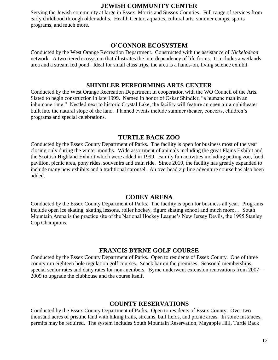#### **JEWISH COMMUNITY CENTER**

Serving the Jewish community at large in Essex, Morris and Sussex Counties. Full range of services from early childhood through older adults. Health Center, aquatics, cultural arts, summer camps, sports programs, and much more.

#### **O'CONNOR ECOSYSTEM**

Conducted by the West Orange Recreation Department. Constructed with the assistance of *Nickelodeon* network. A two tiered ecosystem that illustrates the interdependency of life forms. It includes a wetlands area and a stream fed pond. Ideal for small class trips, the area is a hands-on, living science exhibit.

#### **SHINDLER PERFORMING ARTS CENTER**

Conducted by the West Orange Recreation Department in cooperation with the WO Council of the Arts. Slated to begin construction in late 1999. Named in honor of Oskar Shindler, "a humane man in an inhumane time." Nestled next to historic Crystal Lake, the facility will feature an open air amphitheater built into the natural slope of the land. Planned events include summer theater, concerts, children's programs and special celebrations.

#### **TURTLE BACK ZOO**

Conducted by the Essex County Department of Parks. The facility is open for business most of the year closing only during the winter months. Wide assortment of animals including the great Plains Exhibit and the Scottish Highland Exhibit which were added in 1999. Family fun activities including petting zoo, food pavilion, picnic area, pony rides, souvenirs and train ride. Since 2010, the facility has greatly expanded to include many new exhibits and a traditional carousel. An overhead zip line adventure course has also been added.

#### **CODEY ARENA**

Conducted by the Essex County Department of Parks. The facility is open for business all year. Programs include open ice skating, skating lessons, roller hockey, figure skating school and much more… South Mountain Arena is the practice site of the National Hockey League's New Jersey Devils, the 1995 Stanley Cup Champions.

#### **FRANCIS BYRNE GOLF COURSE**

Conducted by the Essex County Department of Parks. Open to residents of Essex County. One of three county run eighteen hole regulation golf courses. Snack bar on the premises. Seasonal memberships, special senior rates and daily rates for non-members. Byrne underwent extension renovations from 2007 – 2009 to upgrade the clubhouse and the course itself.

#### **COUNTY RESERVATIONS**

Conducted by the Essex County Department of Parks. Open to residents of Essex County. Over two thousand acres of pristine land with hiking trails, streams, ball fields, and picnic areas. In some instances, permits may be required. The system includes South Mountain Reservation, Mayapple Hill, Turtle Back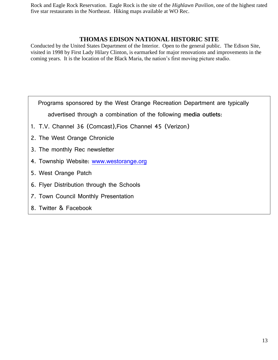Rock and Eagle Rock Reservation. Eagle Rock is the site of the *Highlawn Pavilion*, one of the highest rated five star restaurants in the Northeast. Hiking maps available at WO Rec.

#### **THOMAS EDISON NATIONAL HISTORIC SITE**

Conducted by the United States Department of the Interior. Open to the general public. The Edison Site, visited in 1998 by First Lady Hilary Clinton, is earmarked for major renovations and improvements in the coming years. It is the location of the Black Maria, the nation's first moving picture studio.

Programs sponsored by the West Orange Recreation Department are typically

advertised through a combination of the following **media outlets**:

- 1. T.V. Channel 36 (Comcast),Fios Channel 45 (Verizon)
- 2. The West Orange Chronicle
- 3. The monthly Rec newsletter
- 4. Township Website: [www.westorange.org](http://www.westorange.org/)
- 5. West Orange Patch
- 6. Flyer Distribution through the Schools
- 7. Town Council Monthly Presentation
- 8. Twitter & Facebook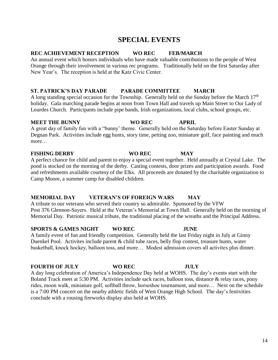# **SPECIAL EVENTS**

### **REC ACHIEVEMENT RECEPTION WO REC FEB/MARCH**

An annual event which honors individuals who have made valuable contributions to the people of West Orange through their involvement in various rec programs. Traditionally held on the first Saturday after New Year's. The reception is held at the Katz Civic Center.

### **ST. PATRICK'S DAY PARADE PARADE COMMITTEE MARCH**

A long standing special occasion for the Township. Generally held on the Sunday before the March  $17<sup>th</sup>$ holiday. Gala marching parade begins at noon from Town Hall and travels up Main Street to Our Lady of Lourdes Church. Participants include pipe bands, Irish organizations, local clubs, school groups, etc.

#### **MEET THE BUNNY WO REC APRIL**

A great day of family fun with a "bunny' theme. Generally held on the Saturday before Easter Sunday at Degnan Park. Activities include egg hunts, story time, petting zoo, miniature golf, face painting and much more

### **FISHING DERBY WO REC MAY**

A perfect chance for child and parent to enjoy a special event together. Held annually at Crystal Lake. The pond is stocked on the morning of the derby. Casting contests, door prizes and participation awards. Food and refreshments available courtesy of the Elks. All proceeds are donated by the charitable organization to Camp Moore, a summer camp for disabled children.

### **MEMORIAL DAY VETERAN'S OF FOREIGN WARS MAY**

A tribute to our veterans who served their country so admirable. Sponsored by the VFW Post 376 Glennon-Sayers. Held at the Veteran's Memorial at Town Hall. Generally held on the morning of Memorial Day. Patriotic musical tribute, the traditional placing of the wreaths and the Principal Address.

#### **SPORTS & GAMES NIGHT WO REC JUNE**

A family event of fun and friendly competition. Generally held the last Friday night in July at Ginny Duenkel Pool. Activites include parent & child tube races, belly flop contest, treasure hunts, water basketball, knock hockey, balloon toss, and more… Modest admission covers all activites plus dinner.

#### **FOURTH OF JULY WO REC JULY**

A day long celebration of America's Independence Day held at WOHS. The day's events start with the Boland Track meet at 5:30 PM. Activities include sack races, balloon toss, distance & relay races, pony rides, moon walk, miniature golf, softball throw, horseshoe tournament, and more… Next on the schedule is a 7:00 PM concert on the nearby athletic fields of West Orange High School. The day's festivities conclude with a rousing fireworks display also held at WOHS.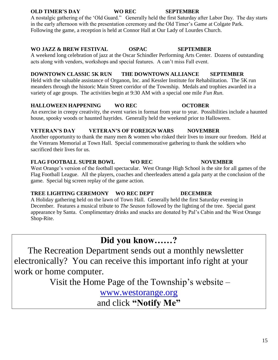#### **OLD TIMER'S DAY WO REC SEPTEMBER**

A nostalgic gathering of the 'Old Guard." Generally held the first Saturday after Labor Day. The day starts in the early afternoon with the presentation ceremony and the Old Timer's Game at Colgate Park. Following the game, a reception is held at Connor Hall at Our Lady of Lourdes Church.

#### **WO JAZZ & BREW FESTIVAL OSPAC SEPTEMBER**

A weekend long celebration of jazz at the Oscar Schindler Performing Arts Center. Dozens of outstanding acts along with vendors, workshops and special features. A can't miss Fall event.

#### **DOWNTOWN CLASSIC 5K RUN THE DOWNTOWN ALLIANCE SEPTEMBER**

Held with the valuable assistance of Organon, Inc. and Kessler Institute for Rehabilitation. The 5K run meanders through the historic Main Street corridor of the Township. Medals and trophies awarded in a variety of age groups. The activities begin at 9:30 AM with a special one mile *Fun Run*.

### **HALLOWEEN HAPPENING WO REC OCTOBER**

An exercise in creepy creativity, the event varies in format from year to year. Possibilities include a haunted house, spooky woods or haunted hayrides. Generally held the weekend prior to Halloween.

#### **VETERAN'S DAY VETERAN'S OF FOREIGN WARS NOVEMBER**

Another opportunity to thank the many men & women who risked their lives to insure our freedom. Held at the Veterans Memorial at Town Hall. Special commemorative gathering to thank the soldiers who sacrificed their lives for us.

#### **FLAG FOOTBALL SUPER BOWL WO REC NOVEMBER**

West Orange's version of the football spectacular. West Orange High School is the site for all games of the Flag Football League. All the players, coaches and cheerleaders attend a gala party at the conclusion of the game. Special big screen replay of the game action.

### **TREE LIGHTING CEREMONY WO REC DEPT DECEMBER**

A Holiday gathering held on the lawn of Town Hall. Generally held the first Saturday evening in December. Features a musical tribute to *The Season* followed by the lighting of the tree. Special guest appearance by Santa. Complimentary drinks and snacks are donated by Pal's Cabin and the West Orange Shop-Rite.

# **Did you know……?**

 The Recreation Department sends out a monthly newsletter electronically? You can receive this important info right at your work or home computer.

Visit the Home Page of the Township's website –

[www.westorange.org](http://www.westorange.org/)  and click **"Notify Me"**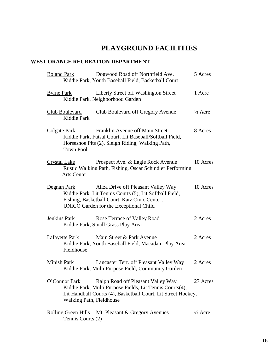# **PLAYGROUND FACILITIES**

#### **WEST ORANGE RECREATION DEPARTMENT**

|                     | <b>Boland Park</b>                              | Dogwood Road off Northfield Ave.<br>Kiddie Park, Youth Baseball Field, Basketball Court                                                                                                   | 5 Acres            |
|---------------------|-------------------------------------------------|-------------------------------------------------------------------------------------------------------------------------------------------------------------------------------------------|--------------------|
| <b>Byrne Park</b>   |                                                 | Liberty Street off Washington Street<br>Kiddie Park, Neighborhood Garden                                                                                                                  | 1 Acre             |
|                     | Club Boulevard<br>Kiddie Park                   | Club Boulevard off Gregory Avenue                                                                                                                                                         | $\frac{1}{2}$ Acre |
| <b>Colgate Park</b> | <b>Town Pool</b>                                | Franklin Avenue off Main Street<br>Kiddie Park, Futsal Court, Lit Baseball/Softball Field,<br>Horseshoe Pits (2), Sleigh Riding, Walking Path,                                            | 8 Acres            |
| <b>Crystal Lake</b> | <b>Arts Center</b>                              | Prospect Ave. & Eagle Rock Avenue<br>Rustic Walking Path, Fishing, Oscar Schindler Performing                                                                                             | 10 Acres           |
|                     | Degnan Park                                     | Aliza Drive off Pleasant Valley Way<br>Kiddie Park, Lit Tennis Courts (5), Lit Softball Field,<br>Fishing, Basketball Court, Katz Civic Center,<br>UNICO Garden for the Exceptional Child | 10 Acres           |
| Jenkins Park        |                                                 | Rose Terrace of Valley Road<br>Kiddie Park, Small Grass Play Area                                                                                                                         | 2 Acres            |
|                     | Lafayette Park<br>Fieldhouse                    | Main Street & Park Avenue<br>Kiddie Park, Youth Baseball Field, Macadam Play Area                                                                                                         | 2 Acres            |
| Minish Park         |                                                 | Lancaster Terr. off Pleasant Valley Way<br>Kiddie Park, Multi Purpose Field, Community Garden                                                                                             | 2 Acres            |
|                     | O'Connor Park<br>Walking Path, Fieldhouse       | Ralph Road off Pleasant Valley Way<br>Kiddie Park, Multi Purpose Fields, Lit Tennis Courts(4),<br>Lit Handball Courts (4), Basketball Court, Lit Street Hockey,                           | 27 Acres           |
|                     | <b>Rolling Green Hills</b><br>Tennis Courts (2) | Mt. Pleasant & Gregory Avenues                                                                                                                                                            | $\frac{1}{2}$ Acre |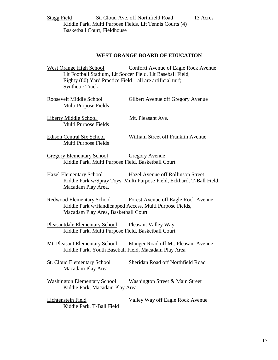Stagg Field St. Cloud Ave. off Northfield Road 13 Acres Kiddie Park, Multi Purpose Fields, Lit Tennis Courts (4) Basketball Court, Fieldhouse

#### **WEST ORANGE BOARD OF EDUCATION**

West Orange High School Conforti Avenue of Eagle Rock Avenue Lit Football Stadium, Lit Soccer Field, Lit Baseball Field, Eighty (80) Yard Practice Field – all are artificial turf; Synthetic Track

| Roosevelt Middle School | Gilbert Avenue off Gregory Avenue |
|-------------------------|-----------------------------------|
| Multi Purpose Fields    |                                   |
|                         |                                   |

Liberty Middle School Mt. Pleasant Ave. Multi Purpose Fields

Multi Purpose Fields

Edison Central Six School William Street off Franklin Avenue

Gregory Elementary School Gregory Avenue Kiddie Park, Multi Purpose Field, Basketball Court

Hazel Elementary School Hazel Avenue off Rollinson Street Kiddie Park w/Spray Toys, Multi Purpose Field, Eckhardt T-Ball Field, Macadam Play Area.

Redwood Elementary School Forest Avenue off Eagle Rock Avenue Kiddie Park w/Handicapped Access, Multi Purpose Fields, Macadam Play Area, Basketball Court

Pleasantdale Elementary School Pleasant Valley Way Kiddie Park, Multi Purpose Field, Basketball Court

Mt. Pleasant Elementary School Manger Road off Mt. Pleasant Avenue Kiddie Park, Youth Baseball Field, Macadam Play Area

St. Cloud Elementary School Sheridan Road off Northfield Road Macadam Play Area

Washington Elementary School Washington Street & Main Street Kiddie Park, Macadam Play Area

Lichtenstein Field Valley Way off Eagle Rock Avenue Kiddie Park, T-Ball Field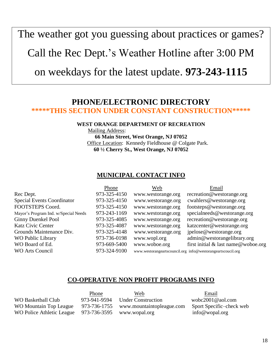The weather got you guessing about practices or games?

Call the Rec Dept.'s Weather Hotline after 3:00 PM

on weekdays for the latest update. **973-243-1115**

## **PHONE/ELECTRONIC DIRECTORY \*\*\*\*\*THIS SECTION UNDER CONSTANT CONSTRUCTION\*\*\*\*\***

#### **WEST ORANGE DEPARTMENT OF RECREATION**

 Mailing Address: **66 Main Street, West Orange, NJ 07052** Office Location: Kennedy Fieldhouse @ Colgate Park. **60 ½ Cherry St., West Orange, NJ 07052**

#### **MUNICIPAL CONTACT INFO**

| Phone        | Web                | Email                                                       |
|--------------|--------------------|-------------------------------------------------------------|
| 973-325-4150 | www.westorange.org | recreation@westorange.org                                   |
| 973-325-4150 | www.westorange.org | $c$ wahlers @ westorange.org                                |
| 973-325-4150 | www.westorange.org | footsteps@westorange.org                                    |
| 973-243-1169 | www.westorange.org | specialneeds@westorange.org                                 |
| 973-325-4085 | www.westorange.org | recreation@westorange.org                                   |
| 973-325-4087 | www.westorange.org | katzcenter@westorange.org                                   |
| 973-325-4148 | www.westorange.org | jpelose@westorange.org                                      |
| 973-736-0198 | www.wopl.org       | admin@westorangelibrary.org                                 |
| 973-669-5400 | www.woboe.org      | first initial & last name@woboe.org                         |
| 973-324-9100 |                    | www.westorangeartscouncil.org info@westorangeartscoucil.org |
|              |                    |                                                             |

#### **CO-OPERATIVE NON PROFIT PROGRAMS INFO**

|                                                      | Phone        | Web                       | Email                    |
|------------------------------------------------------|--------------|---------------------------|--------------------------|
| WO Basketball Club                                   | 973-941-9594 | <b>Under Construction</b> | wobc2001@aol.com         |
| WO Mountain Top League                               | 973-736-1755 | www.mountaintopleague.com | Sport Specific–check web |
| WO Police Athletic League 973-736-3595 www.wopal.org |              |                           | info@wopal.org           |